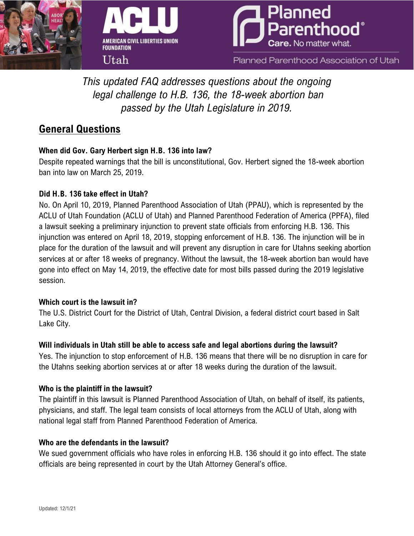





Planned Parenthood Association of Utah

*This updated FAQ addresses questions about the ongoing legal challenge to H.B. 136, the 18-week abortion ban passed by the Utah Legislature in 2019.*

# **General Questions**

# **When did Gov. Gary Herbert sign H.B. 136 into law?**

Despite repeated warnings that the bill is unconstitutional, Gov. Herbert signed the 18-week abortion ban into law on March 25, 2019.

# **Did H.B. 136 take effect in Utah?**

No. On April 10, 2019, Planned Parenthood Association of Utah (PPAU), which is represented by the ACLU of Utah Foundation (ACLU of Utah) and Planned Parenthood Federation of America (PPFA), filed a lawsuit seeking a preliminary injunction to prevent state officials from enforcing H.B. 136. This injunction was entered on April 18, 2019, stopping enforcement of H.B. 136. The injunction will be in place for the duration of the lawsuit and will prevent any disruption in care for Utahns seeking abortion services at or after 18 weeks of pregnancy. Without the lawsuit, the 18-week abortion ban would have gone into effect on May 14, 2019, the effective date for most bills passed during the 2019 legislative session.

# **Which court is the lawsuit in?**

The U.S. District Court for the District of Utah, Central Division, a federal district court based in Salt Lake City.

# **Will individuals in Utah still be able to access safe and legal abortions during the lawsuit?**

Yes. The injunction to stop enforcement of H.B. 136 means that there will be no disruption in care for the Utahns seeking abortion services at or after 18 weeks during the duration of the lawsuit.

# **Who is the plaintiff in the lawsuit?**

The plaintiff in this lawsuit is Planned Parenthood Association of Utah, on behalf of itself, its patients, physicians, and staff. The legal team consists of local attorneys from the ACLU of Utah, along with national legal staff from Planned Parenthood Federation of America.

# **Who are the defendants in the lawsuit?**

We sued government officials who have roles in enforcing H.B. 136 should it go into effect. The state officials are being represented in court by the Utah Attorney General's office.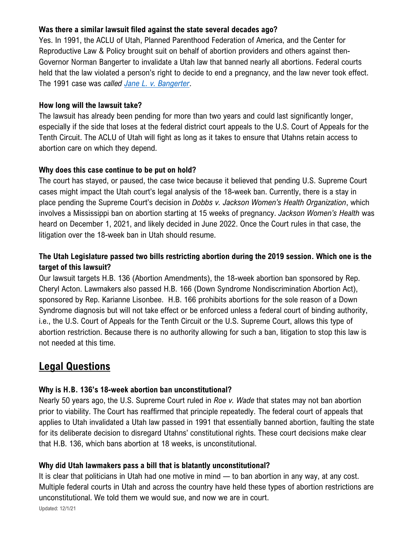## **Was there a similar lawsuit filed against the state several decades ago?**

Yes. In 1991, the ACLU of Utah, Planned Parenthood Federation of America, and the Center for Reproductive Law & Policy brought suit on behalf of abortion providers and others against then-Governor Norman Bangerter to invalidate a Utah law that banned nearly all abortions. Federal courts held that the law violated a person's right to decide to end a pregnancy, and the law never took effect. The 1991 case was *called [Jane L. v. Bangerter](https://caselaw.findlaw.com/us-10th-circuit/1277420.html)*.

## **How long will the lawsuit take?**

The lawsuit has already been pending for more than two years and could last significantly longer, especially if the side that loses at the federal district court appeals to the U.S. Court of Appeals for the Tenth Circuit. The ACLU of Utah will fight as long as it takes to ensure that Utahns retain access to abortion care on which they depend.

## **Why does this case continue to be put on hold?**

The court has stayed, or paused, the case twice because it believed that pending U.S. Supreme Court cases might impact the Utah court's legal analysis of the 18-week ban. Currently, there is a stay in place pending the Supreme Court's decision in *Dobbs v. Jackson Women's Health Organization*, which involves a Mississippi ban on abortion starting at 15 weeks of pregnancy. *Jackson Women's Health* was heard on December 1, 2021, and likely decided in June 2022. Once the Court rules in that case, the litigation over the 18-week ban in Utah should resume.

# **The Utah Legislature passed two bills restricting abortion during the 2019 session. Which one is the target of this lawsuit?**

Our lawsuit targets H.B. 136 (Abortion Amendments), the 18-week abortion ban sponsored by Rep. Cheryl Acton. Lawmakers also passed H.B. 166 (Down Syndrome Nondiscrimination Abortion Act), sponsored by Rep. Karianne Lisonbee. H.B. 166 prohibits abortions for the sole reason of a Down Syndrome diagnosis but will not take effect or be enforced unless a federal court of binding authority, i.e., the U.S. Court of Appeals for the Tenth Circuit or the U.S. Supreme Court, allows this type of abortion restriction. Because there is no authority allowing for such a ban, litigation to stop this law is not needed at this time.

# **Legal Questions**

# **Why is H.B. 136's 18-week abortion ban unconstitutional?**

Nearly 50 years ago, the U.S. Supreme Court ruled in *Roe v. Wade* that states may not ban abortion prior to viability. The Court has reaffirmed that principle repeatedly. The federal court of appeals that applies to Utah invalidated a Utah law passed in 1991 that essentially banned abortion, faulting the state for its deliberate decision to disregard Utahns' constitutional rights. These court decisions make clear that H.B. 136, which bans abortion at 18 weeks, is unconstitutional.

# **Why did Utah lawmakers pass a bill that is blatantly unconstitutional?**

It is clear that politicians in Utah had one motive in mind — to ban abortion in any way, at any cost. Multiple federal courts in Utah and across the country have held these types of abortion restrictions are unconstitutional. We told them we would sue, and now we are in court.